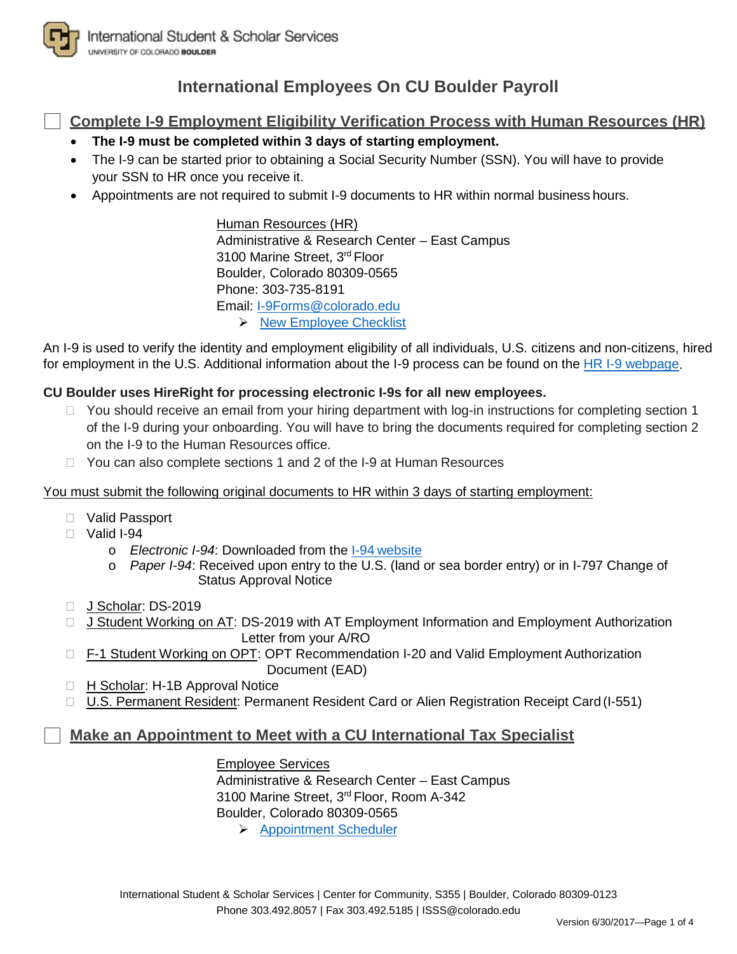

# **International Employees On CU Boulder Payroll**

**Complete I-9 Employment Eligibility Verification Process with Human Resources (HR)**

- **The I-9 must be completed within 3 days of starting employment.**
- The I-9 can be started prior to obtaining a Social Security Number (SSN). You will have to provide your SSN to HR once you receive it.
- Appointments are not required to submit I-9 documents to HR within normal business hours.

Human Resources (HR) Administrative & Research Center – East Campus 3100 Marine Street, 3rd Floor Boulder, Colorado 80309-0565 Phone: 303-735-8191 Email: [I-9Forms@colorado.edu](mailto:I-9Forms@colorado.edu)  $\triangleright$  [New Employee](http://www.colorado.edu/hr/new-employees/getting-started-cu-boulder/new-employees-checklist) Checklist

An I-9 is used to verify the identity and employment eligibility of all individuals, U.S. citizens and non-citizens, hired for employment in the U.S. Additional information about the I-9 process can be found on the [HR I-9 webpage.](http://www.colorado.edu/hr/policies-guidance/i-9-guidance)

## **CU Boulder uses HireRight for processing electronic I-9s for all new employees.**

- □ You should receive an email from your hiring department with log-in instructions for completing section 1 of the I-9 during your onboarding. You will have to bring the documents required for completing section 2 on the I-9 to the Human Resources office.
- $\Box$  You can also complete sections 1 and 2 of the I-9 at Human Resources

### You must submit the following original documents to HR within 3 days of starting employment:

- Valid Passport
- $\Box$  Valid I-94
	- o *Electronic I-94*: Downloaded from the I-94 [website](https://i94.cbp.dhs.gov/)
	- o *Paper I-94*: Received upon entry to the U.S. (land or sea border entry) or in I-797 Change of Status Approval Notice
- J Scholar: DS-2019
- □ J Student Working on AT: DS-2019 with AT Employment Information and Employment Authorization Letter from your A/RO
- □ F-1 Student Working on OPT: OPT Recommendation I-20 and Valid Employment Authorization Document (EAD)
- □ H Scholar: H-1B Approval Notice
- □ U.S. Permanent Resident: Permanent Resident Card or Alien Registration Receipt Card (I-551)

### **Make an Appointment to Meet with a CU International Tax Specialist**

Employee Services

Administrative & Research Center – East Campus 3100 Marine Street, 3rd Floor, Room A-342 Boulder, Colorado 80309-0565

[Appointment](https://booknow.appointment-plus.com/43rspqeq) Scheduler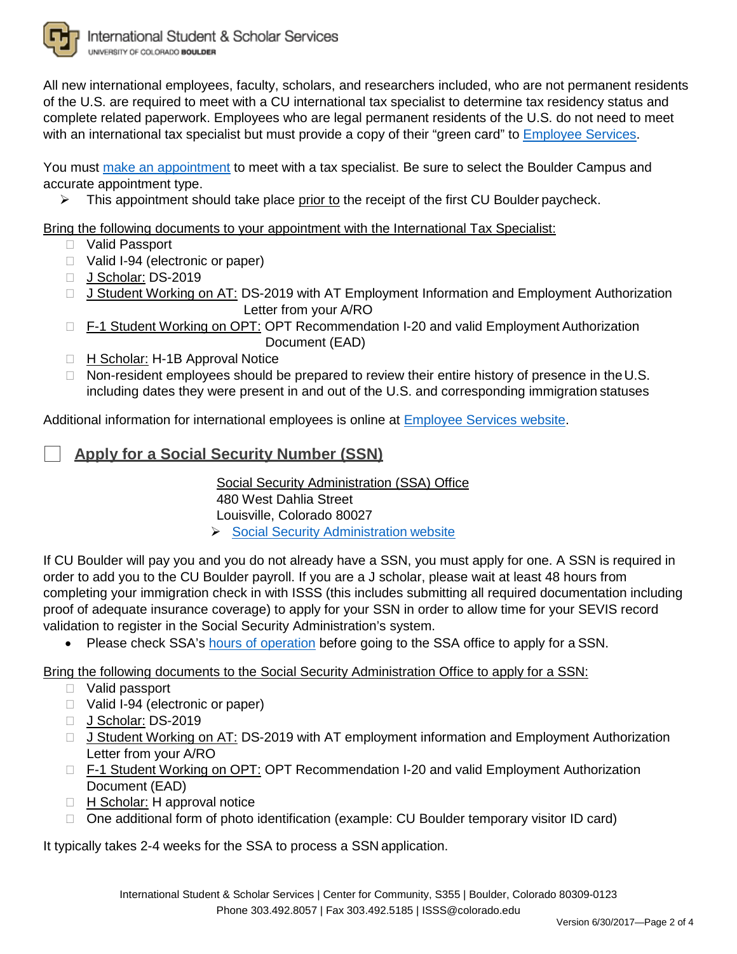

All new international employees, faculty, scholars, and researchers included, who are not permanent residents of the U.S. are required to meet with a CU international tax specialist to determine tax residency status and complete related paperwork. Employees who are legal permanent residents of the U.S. do not need to meet with an international tax specialist but must provide a copy of their "green card" to [Employee Services.](http://www.cu.edu/employee-services)

You must [make an appointment](https://booknow.appointment-plus.com/43rspqeq) to meet with a tax specialist. Be sure to select the Boulder Campus and accurate appointment type.

 $\triangleright$  This appointment should take place prior to the receipt of the first CU Boulder paycheck.

Bring the following documents to your appointment with the International Tax Specialist:

- Valid Passport
- □ Valid I-94 (electronic or paper)
- J Scholar: DS-2019
- □ J Student Working on AT: DS-2019 with AT Employment Information and Employment Authorization Letter from your A/RO
- □ F-1 Student Working on OPT: OPT Recommendation I-20 and valid Employment Authorization Document (EAD)
- □ H Scholar: H-1B Approval Notice
- $\Box$  Non-resident employees should be prepared to review their entire history of presence in the U.S. including dates they were present in and out of the U.S. and corresponding immigration statuses

Additional information for international employees is online at [Employee Services website.](http://www.cu.edu/employee-services/international-employee-0)

## **Apply for a Social Security Number (SSN)**

Social Security Administration (SSA) Office 480 West Dahlia Street Louisville, Colorado 80027 [Social Security Administration](http://www.ssa.gov/ssnumber) website

If CU Boulder will pay you and you do not already have a SSN, you must apply for one. A SSN is required in order to add you to the CU Boulder payroll. If you are a J scholar, please wait at least 48 hours from completing your immigration check in with ISSS (this includes submitting all required documentation including proof of adequate insurance coverage) to apply for your SSN in order to allow time for your SEVIS record validation to register in the Social Security Administration's system.

• Please check SSA's [hours of operation](https://secure.ssa.gov/ICON/main.jsp) before going to the SSA office to apply for a SSN.

Bring the following documents to the Social Security Administration Office to apply for a SSN:

- Valid passport
- □ Valid I-94 (electronic or paper)
- J Scholar: DS-2019
- □ J Student Working on AT: DS-2019 with AT employment information and Employment Authorization Letter from your A/RO
- □ F-1 Student Working on OPT: OPT Recommendation I-20 and valid Employment Authorization Document (EAD)
- □ H Scholar: H approval notice
- One additional form of photo identification (example: CU Boulder temporary visitor ID card)

It typically takes 2-4 weeks for the SSA to process a SSN application.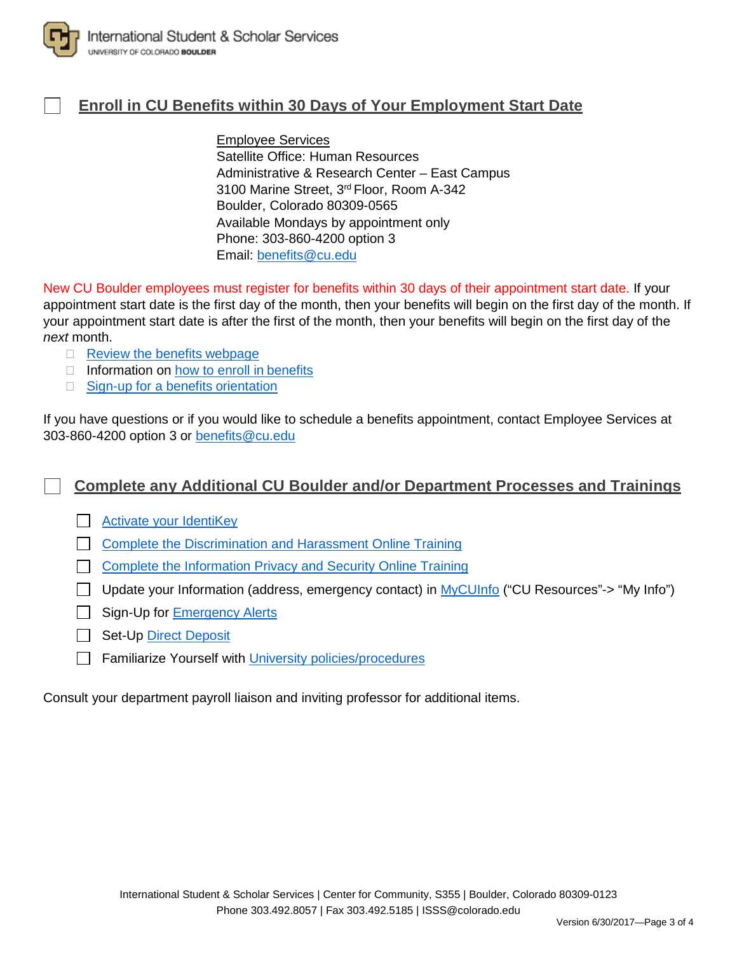

## **Enroll in CU Benefits within 30 Days of Your Employment Start Date**

### Employee Services

Satellite Office: Human Resources Administrative & Research Center – East Campus 3100 Marine Street, 3rd Floor, Room A-342 Boulder, Colorado 80309-0565 Available Mondays by appointment only Phone: 303-860-4200 option 3 Email: [benefits@cu.edu](mailto:benefits@cu.edu)

New CU Boulder employees must register for benefits within 30 days of their appointment start date. If your appointment start date is the first day of the month, then your benefits will begin on the first day of the month. If your appointment start date is after the first of the month, then your benefits will begin on the first day of the *next* month.

- $\Box$  [Review the benefits](https://www.cu.edu/employee-services/benefits) webpage
- $\Box$  Information on [how to enroll in](https://www.cu.edu/employee-services/how-enroll-benefits) benefits
- $\Box$  [Sign-up for a benefits](http://www.cu.edu/employee-services/benefits/new-employee-benefits-orientations) orientation

If you have questions or if you would like to schedule a benefits appointment, contact Employee Services at 303-860-4200 option 3 or [benefits@cu.edu](mailto:benefits@cu.edu)

**Complete any Additional CU Boulder and/or Department Processes and Trainings**

[Activate your](http://www.colorado.edu/oit/services/identity-access-management/identikey) IdentiKey

**[Complete the Discrimination and Harassment Online Training](http://www.colorado.edu/institutionalequity/training-and-education)** 

**[Complete the Information Privacy and Security Online Training](http://www.colorado.edu/oit/it-security/training)** 

□ Update your Information (address, emergency contact) in [MyCUInfo](https://mycuinfo.colorado.edu/) ("CU Resources"-> "My Info")

- Sign-Up for [Emergency Alerts](http://alerts.colorado.edu/)
- Set-Up [Direct Deposit](https://www.cu.edu/employee-services/policies/direct-deposit)
- Familiarize Yourself with [University policies/procedures](http://www.colorado.edu/hr/policies-guidance)

Consult your department payroll liaison and inviting professor for additional items.